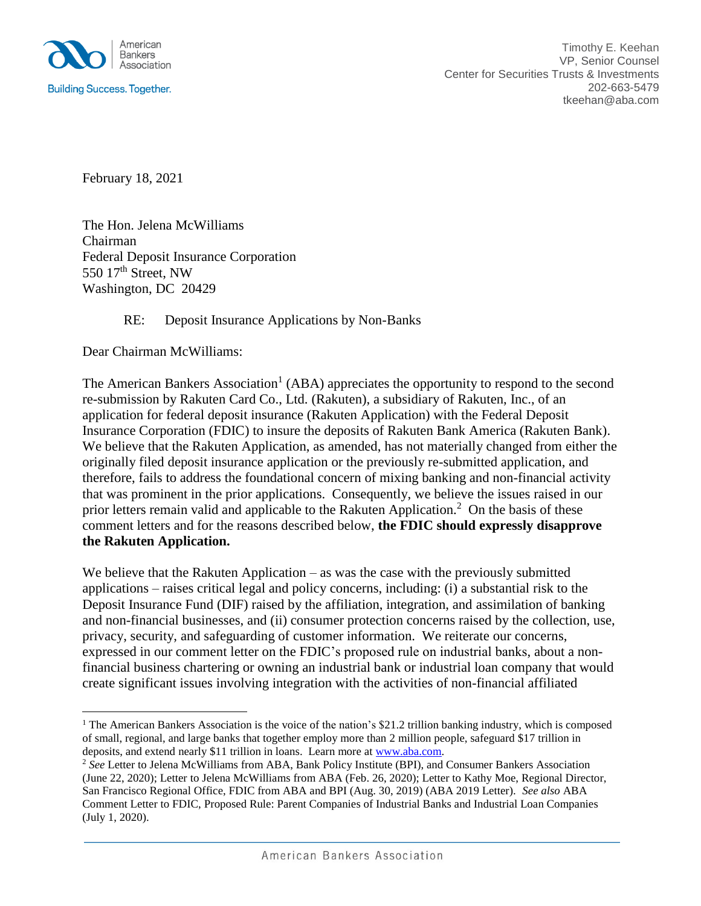

February 18, 2021

The Hon. Jelena McWilliams Chairman Federal Deposit Insurance Corporation 550 17<sup>th</sup> Street, NW Washington, DC 20429

## RE: Deposit Insurance Applications by Non-Banks

Dear Chairman McWilliams:

 $\overline{a}$ 

The American Bankers Association<sup>1</sup> (ABA) appreciates the opportunity to respond to the second re-submission by Rakuten Card Co., Ltd. (Rakuten), a subsidiary of Rakuten, Inc., of an application for federal deposit insurance (Rakuten Application) with the Federal Deposit Insurance Corporation (FDIC) to insure the deposits of Rakuten Bank America (Rakuten Bank). We believe that the Rakuten Application, as amended, has not materially changed from either the originally filed deposit insurance application or the previously re-submitted application, and therefore, fails to address the foundational concern of mixing banking and non-financial activity that was prominent in the prior applications. Consequently, we believe the issues raised in our prior letters remain valid and applicable to the Rakuten Application.<sup>2</sup> On the basis of these comment letters and for the reasons described below, **the FDIC should expressly disapprove the Rakuten Application.**

We believe that the Rakuten Application – as was the case with the previously submitted applications – raises critical legal and policy concerns, including: (i) a substantial risk to the Deposit Insurance Fund (DIF) raised by the affiliation, integration, and assimilation of banking and non-financial businesses, and (ii) consumer protection concerns raised by the collection, use, privacy, security, and safeguarding of customer information. We reiterate our concerns, expressed in our comment letter on the FDIC's proposed rule on industrial banks, about a nonfinancial business chartering or owning an industrial bank or industrial loan company that would create significant issues involving integration with the activities of non-financial affiliated

<sup>&</sup>lt;sup>1</sup> The American Bankers Association is the voice of the nation's \$21.2 trillion banking industry, which is composed of small, regional, and large banks that together employ more than 2 million people, safeguard \$17 trillion in deposits, and extend nearly \$11 trillion in loans. Learn more at [www.aba.com.](http://www.aba.com/)

<sup>2</sup> *See* Letter to Jelena McWilliams from ABA, Bank Policy Institute (BPI), and Consumer Bankers Association (June 22, 2020); Letter to Jelena McWilliams from ABA (Feb. 26, 2020); Letter to Kathy Moe, Regional Director, San Francisco Regional Office, FDIC from ABA and BPI (Aug. 30, 2019) (ABA 2019 Letter). *See also* ABA Comment Letter to FDIC, Proposed Rule: Parent Companies of Industrial Banks and Industrial Loan Companies (July 1, 2020).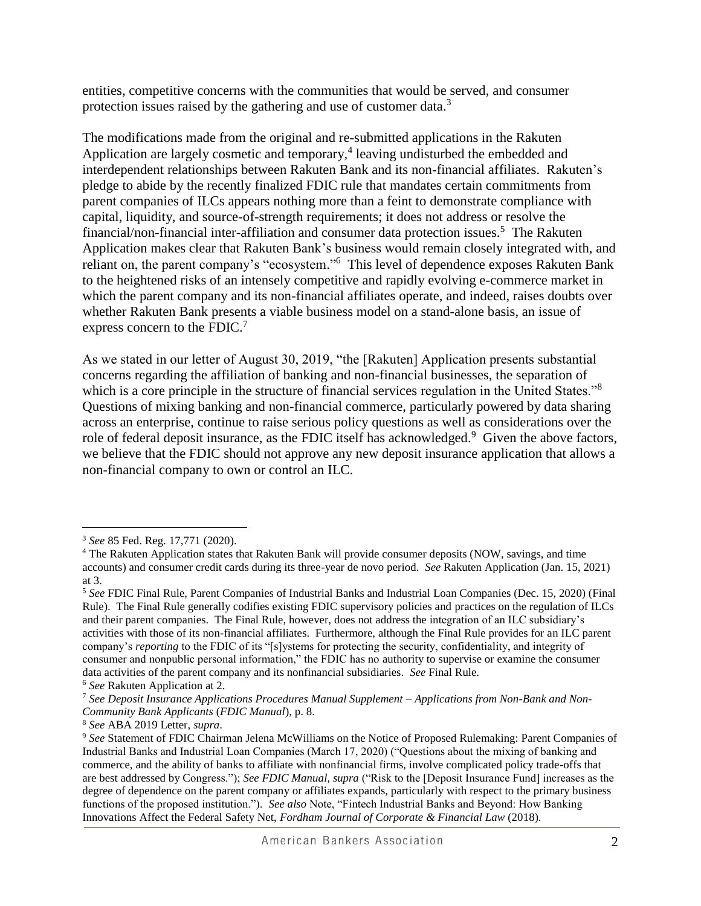entities, competitive concerns with the communities that would be served, and consumer protection issues raised by the gathering and use of customer data.<sup>3</sup>

The modifications made from the original and re-submitted applications in the Rakuten Application are largely cosmetic and temporary, 4 leaving undisturbed the embedded and interdependent relationships between Rakuten Bank and its non-financial affiliates. Rakuten's pledge to abide by the recently finalized FDIC rule that mandates certain commitments from parent companies of ILCs appears nothing more than a feint to demonstrate compliance with capital, liquidity, and source-of-strength requirements; it does not address or resolve the financial/non-financial inter-affiliation and consumer data protection issues.<sup>5</sup> The Rakuten Application makes clear that Rakuten Bank's business would remain closely integrated with, and reliant on, the parent company's "ecosystem."<sup>6</sup> This level of dependence exposes Rakuten Bank to the heightened risks of an intensely competitive and rapidly evolving e-commerce market in which the parent company and its non-financial affiliates operate, and indeed, raises doubts over whether Rakuten Bank presents a viable business model on a stand-alone basis, an issue of express concern to the FDIC.<sup>7</sup>

As we stated in our letter of August 30, 2019, "the [Rakuten] Application presents substantial concerns regarding the affiliation of banking and non-financial businesses, the separation of which is a core principle in the structure of financial services regulation in the United States."<sup>8</sup> Questions of mixing banking and non-financial commerce, particularly powered by data sharing across an enterprise, continue to raise serious policy questions as well as considerations over the role of federal deposit insurance, as the FDIC itself has acknowledged.<sup>9</sup> Given the above factors, we believe that the FDIC should not approve any new deposit insurance application that allows a non-financial company to own or control an ILC.

 $\overline{a}$ <sup>3</sup> *See* 85 Fed. Reg. 17,771 (2020).

<sup>&</sup>lt;sup>4</sup> The Rakuten Application states that Rakuten Bank will provide consumer deposits (NOW, savings, and time accounts) and consumer credit cards during its three-year de novo period. *See* Rakuten Application (Jan. 15, 2021) at 3.

<sup>5</sup> *See* FDIC Final Rule, Parent Companies of Industrial Banks and Industrial Loan Companies (Dec. 15, 2020) (Final Rule). The Final Rule generally codifies existing FDIC supervisory policies and practices on the regulation of ILCs and their parent companies. The Final Rule, however, does not address the integration of an ILC subsidiary's activities with those of its non-financial affiliates. Furthermore, although the Final Rule provides for an ILC parent company's *reporting* to the FDIC of its "[s]ystems for protecting the security, confidentiality, and integrity of consumer and nonpublic personal information," the FDIC has no authority to supervise or examine the consumer data activities of the parent company and its nonfinancial subsidiaries. *See* Final Rule.

<sup>6</sup> *See* Rakuten Application at 2.

<sup>7</sup> *See Deposit Insurance Applications Procedures Manual Supplement – Applications from Non-Bank and Non-Community Bank Applicants* (*FDIC Manual*), p. 8.

<sup>8</sup> *See* ABA 2019 Letter, *supra*.

<sup>9</sup> *See* Statement of FDIC Chairman Jelena McWilliams on the Notice of Proposed Rulemaking: Parent Companies of Industrial Banks and Industrial Loan Companies (March 17, 2020) ("Questions about the mixing of banking and commerce, and the ability of banks to affiliate with nonfinancial firms, involve complicated policy trade-offs that are best addressed by Congress."); *See FDIC Manual, supra* ("Risk to the [Deposit Insurance Fund] increases as the degree of dependence on the parent company or affiliates expands, particularly with respect to the primary business functions of the proposed institution."). *See also* Note, "Fintech Industrial Banks and Beyond: How Banking Innovations Affect the Federal Safety Net, *Fordham Journal of Corporate & Financial Law* (2018).